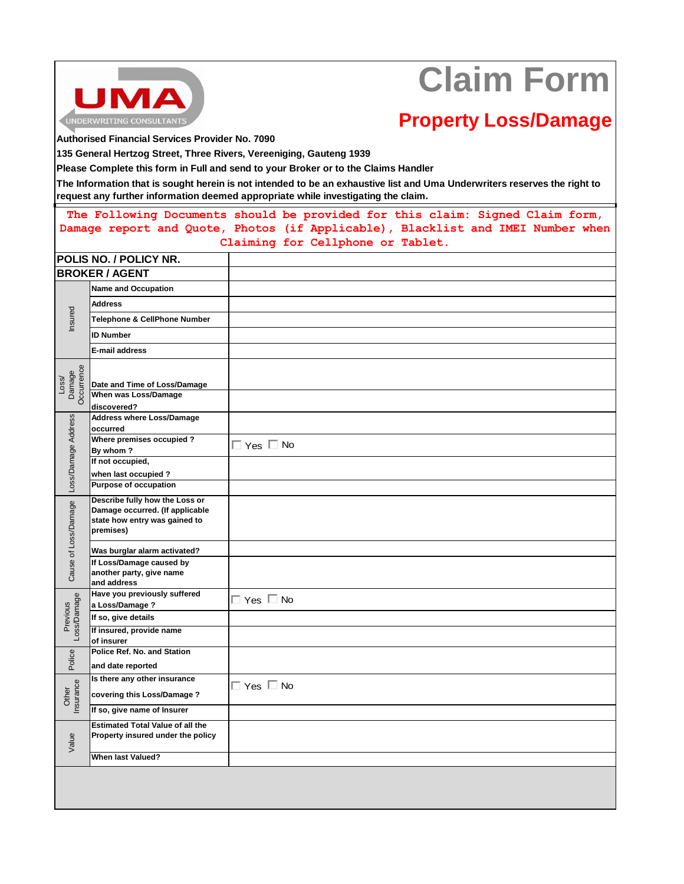

## **Claim Form**

## **Property Loss/Damage**

**Authorised Financial Services Provider No. 7090**

**135 General Hertzog Street, Three Rivers, Vereeniging, Gauteng 1939**

**Please Complete this form in Full and send to your Broker or to the Claims Handler**

**The Information that is sought herein is not intended to be an exhaustive list and Uma Underwriters reserves the right to request any further information deemed appropriate while investigating the claim.**

**The Following Documents should be provided for this claim: Signed Claim form, Damage report and Quote, Photos (if Applicable), Blacklist and IMEI Number when Claiming for Cellphone or Tablet.**

| POLIS NO. / POLICY NR.        |                                                                                                                 |                      |
|-------------------------------|-----------------------------------------------------------------------------------------------------------------|----------------------|
| <b>BROKER / AGENT</b>         |                                                                                                                 |                      |
| Insured                       | Name and Occupation                                                                                             |                      |
|                               | <b>Address</b>                                                                                                  |                      |
|                               | Telephone & CellPhone Number                                                                                    |                      |
|                               | <b>ID Number</b>                                                                                                |                      |
|                               | E-mail address                                                                                                  |                      |
| Damage<br>Occurrence<br>Loss/ | Date and Time of Loss/Damage<br>When was Loss/Damage<br>discovered?                                             |                      |
| Loss/Damage Address           | Address where Loss/Damage<br>occurred                                                                           |                      |
|                               | Where premises occupied?<br>By whom?                                                                            | $\Box$ Yes $\Box$ No |
|                               | If not occupied,<br>when last occupied?                                                                         |                      |
|                               | Purpose of occupation                                                                                           |                      |
| Cause of Loss/Damage          | Describe fully how the Loss or<br>Damage occurred. (If applicable<br>state how entry was gained to<br>premises) |                      |
|                               | Was burglar alarm activated?                                                                                    |                      |
|                               | If Loss/Damage caused by<br>another party, give name<br>and address                                             |                      |
| Loss/Damage                   | Have you previously suffered<br>a Loss/Damage ?                                                                 | $\Box$ Yes $\Box$ No |
| Previous                      | If so, give details                                                                                             |                      |
|                               | If insured, provide name<br>of insurer                                                                          |                      |
| Police                        | Police Ref. No. and Station<br>and date reported                                                                |                      |
| Other<br>Insurance            | Is there any other insurance<br>covering this Loss/Damage ?                                                     | $\Box$ Yes $\Box$ No |
|                               | If so, give name of Insurer                                                                                     |                      |
| Value                         | <b>Estimated Total Value of all the</b><br>Property insured under the policy                                    |                      |
|                               | When last Valued?                                                                                               |                      |
|                               |                                                                                                                 |                      |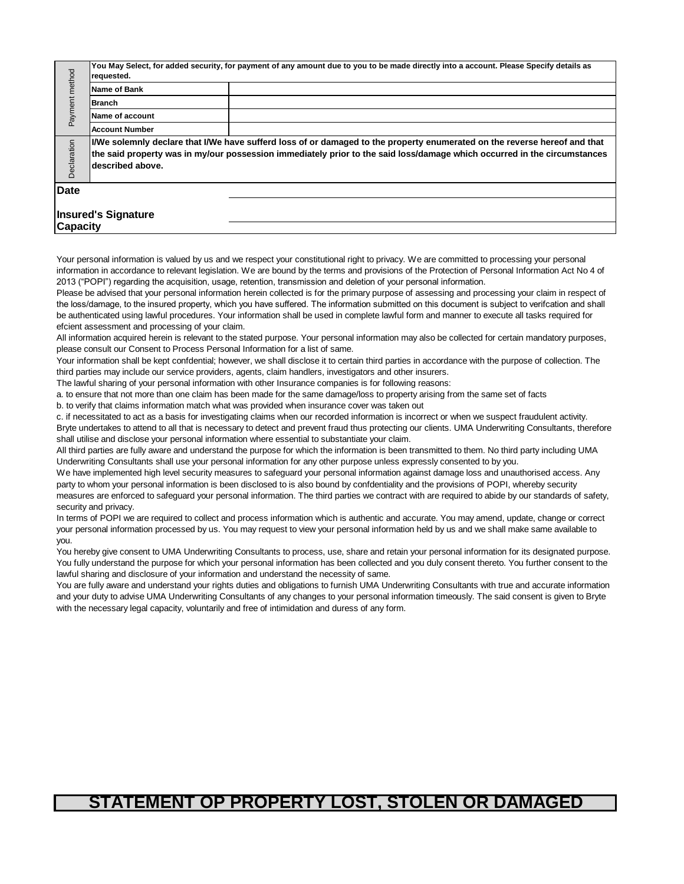|                 |                                                                                                                                                             | You May Select, for added security, for payment of any amount due to you to be made directly into a account. Please Specify details as                                                                                                                                                                                                                                                                                                                                                                                                                                                                                                                                                                                                                                                                                                                                                                                                                                                                                                                                                                                                                                                                                                                                                                                                                                                                                                                                                                                                                                                                                                                                                                                                                                                                                                                                                                                                                                                                                                                                                                                                                                                                                                                                                                                                                                                                                                                                                                                                                                                                                                                                                                                                                                                                                                                                                                                                                                                                                                                                                                                                                                                                                                                                                                                                                                                                                                                                                                           |  |  |  |  |  |
|-----------------|-------------------------------------------------------------------------------------------------------------------------------------------------------------|------------------------------------------------------------------------------------------------------------------------------------------------------------------------------------------------------------------------------------------------------------------------------------------------------------------------------------------------------------------------------------------------------------------------------------------------------------------------------------------------------------------------------------------------------------------------------------------------------------------------------------------------------------------------------------------------------------------------------------------------------------------------------------------------------------------------------------------------------------------------------------------------------------------------------------------------------------------------------------------------------------------------------------------------------------------------------------------------------------------------------------------------------------------------------------------------------------------------------------------------------------------------------------------------------------------------------------------------------------------------------------------------------------------------------------------------------------------------------------------------------------------------------------------------------------------------------------------------------------------------------------------------------------------------------------------------------------------------------------------------------------------------------------------------------------------------------------------------------------------------------------------------------------------------------------------------------------------------------------------------------------------------------------------------------------------------------------------------------------------------------------------------------------------------------------------------------------------------------------------------------------------------------------------------------------------------------------------------------------------------------------------------------------------------------------------------------------------------------------------------------------------------------------------------------------------------------------------------------------------------------------------------------------------------------------------------------------------------------------------------------------------------------------------------------------------------------------------------------------------------------------------------------------------------------------------------------------------------------------------------------------------------------------------------------------------------------------------------------------------------------------------------------------------------------------------------------------------------------------------------------------------------------------------------------------------------------------------------------------------------------------------------------------------------------------------------------------------------------------------------------------------|--|--|--|--|--|
|                 | requested.                                                                                                                                                  |                                                                                                                                                                                                                                                                                                                                                                                                                                                                                                                                                                                                                                                                                                                                                                                                                                                                                                                                                                                                                                                                                                                                                                                                                                                                                                                                                                                                                                                                                                                                                                                                                                                                                                                                                                                                                                                                                                                                                                                                                                                                                                                                                                                                                                                                                                                                                                                                                                                                                                                                                                                                                                                                                                                                                                                                                                                                                                                                                                                                                                                                                                                                                                                                                                                                                                                                                                                                                                                                                                                  |  |  |  |  |  |
| Payment method  | Name of Bank                                                                                                                                                |                                                                                                                                                                                                                                                                                                                                                                                                                                                                                                                                                                                                                                                                                                                                                                                                                                                                                                                                                                                                                                                                                                                                                                                                                                                                                                                                                                                                                                                                                                                                                                                                                                                                                                                                                                                                                                                                                                                                                                                                                                                                                                                                                                                                                                                                                                                                                                                                                                                                                                                                                                                                                                                                                                                                                                                                                                                                                                                                                                                                                                                                                                                                                                                                                                                                                                                                                                                                                                                                                                                  |  |  |  |  |  |
|                 | <b>Branch</b>                                                                                                                                               |                                                                                                                                                                                                                                                                                                                                                                                                                                                                                                                                                                                                                                                                                                                                                                                                                                                                                                                                                                                                                                                                                                                                                                                                                                                                                                                                                                                                                                                                                                                                                                                                                                                                                                                                                                                                                                                                                                                                                                                                                                                                                                                                                                                                                                                                                                                                                                                                                                                                                                                                                                                                                                                                                                                                                                                                                                                                                                                                                                                                                                                                                                                                                                                                                                                                                                                                                                                                                                                                                                                  |  |  |  |  |  |
|                 | Name of account                                                                                                                                             |                                                                                                                                                                                                                                                                                                                                                                                                                                                                                                                                                                                                                                                                                                                                                                                                                                                                                                                                                                                                                                                                                                                                                                                                                                                                                                                                                                                                                                                                                                                                                                                                                                                                                                                                                                                                                                                                                                                                                                                                                                                                                                                                                                                                                                                                                                                                                                                                                                                                                                                                                                                                                                                                                                                                                                                                                                                                                                                                                                                                                                                                                                                                                                                                                                                                                                                                                                                                                                                                                                                  |  |  |  |  |  |
|                 | <b>Account Number</b>                                                                                                                                       |                                                                                                                                                                                                                                                                                                                                                                                                                                                                                                                                                                                                                                                                                                                                                                                                                                                                                                                                                                                                                                                                                                                                                                                                                                                                                                                                                                                                                                                                                                                                                                                                                                                                                                                                                                                                                                                                                                                                                                                                                                                                                                                                                                                                                                                                                                                                                                                                                                                                                                                                                                                                                                                                                                                                                                                                                                                                                                                                                                                                                                                                                                                                                                                                                                                                                                                                                                                                                                                                                                                  |  |  |  |  |  |
|                 | I/We solemnly declare that I/We have sufferd loss of or damaged to the property enumerated on the reverse hereof and that                                   |                                                                                                                                                                                                                                                                                                                                                                                                                                                                                                                                                                                                                                                                                                                                                                                                                                                                                                                                                                                                                                                                                                                                                                                                                                                                                                                                                                                                                                                                                                                                                                                                                                                                                                                                                                                                                                                                                                                                                                                                                                                                                                                                                                                                                                                                                                                                                                                                                                                                                                                                                                                                                                                                                                                                                                                                                                                                                                                                                                                                                                                                                                                                                                                                                                                                                                                                                                                                                                                                                                                  |  |  |  |  |  |
| Declaration     | described above.                                                                                                                                            | the said property was in my/our possession immediately prior to the said loss/damage which occurred in the circumstances                                                                                                                                                                                                                                                                                                                                                                                                                                                                                                                                                                                                                                                                                                                                                                                                                                                                                                                                                                                                                                                                                                                                                                                                                                                                                                                                                                                                                                                                                                                                                                                                                                                                                                                                                                                                                                                                                                                                                                                                                                                                                                                                                                                                                                                                                                                                                                                                                                                                                                                                                                                                                                                                                                                                                                                                                                                                                                                                                                                                                                                                                                                                                                                                                                                                                                                                                                                         |  |  |  |  |  |
| <b>Date</b>     |                                                                                                                                                             |                                                                                                                                                                                                                                                                                                                                                                                                                                                                                                                                                                                                                                                                                                                                                                                                                                                                                                                                                                                                                                                                                                                                                                                                                                                                                                                                                                                                                                                                                                                                                                                                                                                                                                                                                                                                                                                                                                                                                                                                                                                                                                                                                                                                                                                                                                                                                                                                                                                                                                                                                                                                                                                                                                                                                                                                                                                                                                                                                                                                                                                                                                                                                                                                                                                                                                                                                                                                                                                                                                                  |  |  |  |  |  |
|                 | <b>Insured's Signature</b>                                                                                                                                  |                                                                                                                                                                                                                                                                                                                                                                                                                                                                                                                                                                                                                                                                                                                                                                                                                                                                                                                                                                                                                                                                                                                                                                                                                                                                                                                                                                                                                                                                                                                                                                                                                                                                                                                                                                                                                                                                                                                                                                                                                                                                                                                                                                                                                                                                                                                                                                                                                                                                                                                                                                                                                                                                                                                                                                                                                                                                                                                                                                                                                                                                                                                                                                                                                                                                                                                                                                                                                                                                                                                  |  |  |  |  |  |
| <b>Capacity</b> |                                                                                                                                                             |                                                                                                                                                                                                                                                                                                                                                                                                                                                                                                                                                                                                                                                                                                                                                                                                                                                                                                                                                                                                                                                                                                                                                                                                                                                                                                                                                                                                                                                                                                                                                                                                                                                                                                                                                                                                                                                                                                                                                                                                                                                                                                                                                                                                                                                                                                                                                                                                                                                                                                                                                                                                                                                                                                                                                                                                                                                                                                                                                                                                                                                                                                                                                                                                                                                                                                                                                                                                                                                                                                                  |  |  |  |  |  |
|                 |                                                                                                                                                             |                                                                                                                                                                                                                                                                                                                                                                                                                                                                                                                                                                                                                                                                                                                                                                                                                                                                                                                                                                                                                                                                                                                                                                                                                                                                                                                                                                                                                                                                                                                                                                                                                                                                                                                                                                                                                                                                                                                                                                                                                                                                                                                                                                                                                                                                                                                                                                                                                                                                                                                                                                                                                                                                                                                                                                                                                                                                                                                                                                                                                                                                                                                                                                                                                                                                                                                                                                                                                                                                                                                  |  |  |  |  |  |
| you.            | efcient assessment and processing of your claim.<br>please consult our Consent to Process Personal Information for a list of same.<br>security and privacy. | Your personal information is valued by us and we respect your constitutional right to privacy. We are committed to processing your personal<br>information in accordance to relevant legislation. We are bound by the terms and provisions of the Protection of Personal Information Act No 4 of<br>2013 ("POPI") regarding the acquisition, usage, retention, transmission and deletion of your personal information.<br>Please be advised that your personal information herein collected is for the primary purpose of assessing and processing your claim in respect of<br>the loss/damage, to the insured property, which you have suffered. The information submitted on this document is subject to verifcation and shall<br>be authenticated using lawful procedures. Your information shall be used in complete lawful form and manner to execute all tasks required for<br>All information acquired herein is relevant to the stated purpose. Your personal information may also be collected for certain mandatory purposes,<br>Your information shall be kept confdential; however, we shall disclose it to certain third parties in accordance with the purpose of collection. The<br>third parties may include our service providers, agents, claim handlers, investigators and other insurers.<br>The lawful sharing of your personal information with other Insurance companies is for following reasons:<br>a. to ensure that not more than one claim has been made for the same damage/loss to property arising from the same set of facts<br>b. to verify that claims information match what was provided when insurance cover was taken out<br>c. if necessitated to act as a basis for investigating claims when our recorded information is incorrect or when we suspect fraudulent activity.<br>Bryte undertakes to attend to all that is necessary to detect and prevent fraud thus protecting our clients. UMA Underwriting Consultants, therefore<br>shall utilise and disclose your personal information where essential to substantiate your claim.<br>All third parties are fully aware and understand the purpose for which the information is been transmitted to them. No third party including UMA<br>Underwriting Consultants shall use your personal information for any other purpose unless expressly consented to by you.<br>We have implemented high level security measures to safeguard your personal information against damage loss and unauthorised access. Any<br>party to whom your personal information is been disclosed to is also bound by confdentiality and the provisions of POPI, whereby security<br>measures are enforced to safeguard your personal information. The third parties we contract with are required to abide by our standards of safety,<br>In terms of POPI we are required to collect and process information which is authentic and accurate. You may amend, update, change or correct<br>your personal information processed by us. You may request to view your personal information held by us and we shall make same available to<br>You hereby give consent to UMA Underwriting Consultants to process, use, share and retain your personal information for its designated purpose.<br>You fully understand the purpose for which your personal information has been collected and you duly consent thereto. You further consent to the<br>lawful sharing and disclosure of your information and understand the necessity of same. |  |  |  |  |  |
|                 |                                                                                                                                                             | You are fully aware and understand your rights duties and obligations to furnish UMA Underwriting Consultants with true and accurate information                                                                                                                                                                                                                                                                                                                                                                                                                                                                                                                                                                                                                                                                                                                                                                                                                                                                                                                                                                                                                                                                                                                                                                                                                                                                                                                                                                                                                                                                                                                                                                                                                                                                                                                                                                                                                                                                                                                                                                                                                                                                                                                                                                                                                                                                                                                                                                                                                                                                                                                                                                                                                                                                                                                                                                                                                                                                                                                                                                                                                                                                                                                                                                                                                                                                                                                                                                 |  |  |  |  |  |
|                 |                                                                                                                                                             | and your duty to advise UMA Underwriting Consultants of any changes to your personal information timeously. The said consent is given to Bryte<br>with the necessary legal capacity, voluntarily and free of intimidation and duress of any form.                                                                                                                                                                                                                                                                                                                                                                                                                                                                                                                                                                                                                                                                                                                                                                                                                                                                                                                                                                                                                                                                                                                                                                                                                                                                                                                                                                                                                                                                                                                                                                                                                                                                                                                                                                                                                                                                                                                                                                                                                                                                                                                                                                                                                                                                                                                                                                                                                                                                                                                                                                                                                                                                                                                                                                                                                                                                                                                                                                                                                                                                                                                                                                                                                                                                |  |  |  |  |  |

## **STATEMENT OP PROPERTY LOST, STOLEN OR DAMAGED**